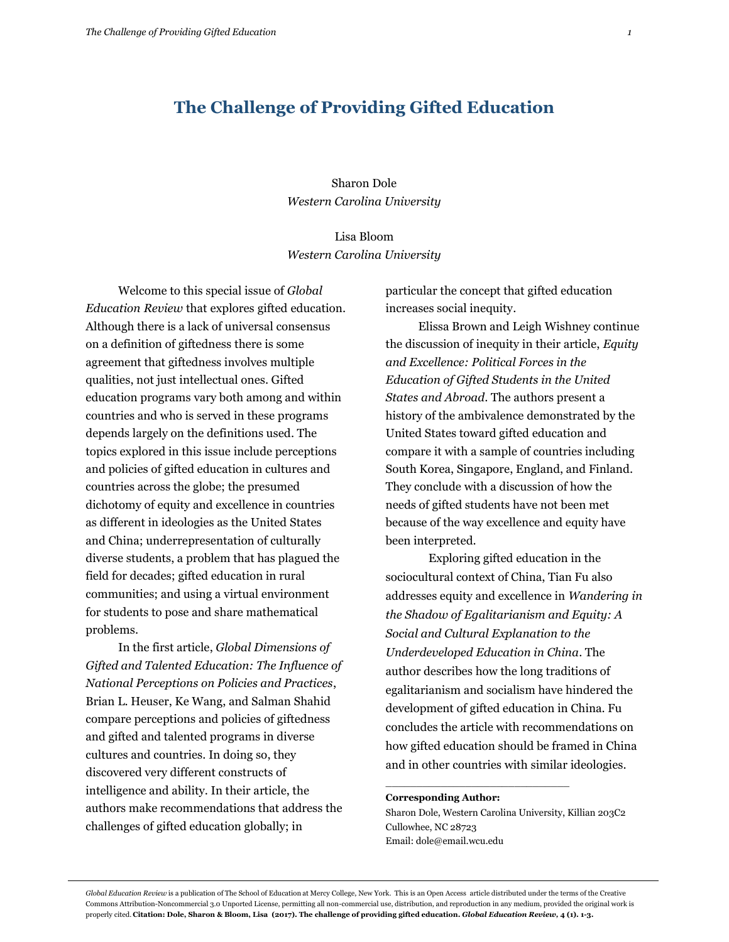## **The Challenge of Providing Gifted Education**

Sharon Dole *Western Carolina University*

Lisa Bloom *Western Carolina University*

Welcome to this special issue of *Global Education Review* that explores gifted education. Although there is a lack of universal consensus on a definition of giftedness there is some agreement that giftedness involves multiple qualities, not just intellectual ones. Gifted education programs vary both among and within countries and who is served in these programs depends largely on the definitions used. The topics explored in this issue include perceptions and policies of gifted education in cultures and countries across the globe; the presumed dichotomy of equity and excellence in countries as different in ideologies as the United States and China; underrepresentation of culturally diverse students, a problem that has plagued the field for decades; gifted education in rural communities; and using a virtual environment for students to pose and share mathematical problems.

In the first article, *Global Dimensions of Gifted and Talented Education: The Influence of National Perceptions on Policies and Practices*, Brian L. Heuser, Ke Wang, and Salman Shahid compare perceptions and policies of giftedness and gifted and talented programs in diverse cultures and countries. In doing so, they discovered very different constructs of intelligence and ability. In their article, the authors make recommendations that address the challenges of gifted education globally; in

particular the concept that gifted education increases social inequity.

Elissa Brown and Leigh Wishney continue the discussion of inequity in their article, *Equity and Excellence: Political Forces in the Education of Gifted Students in the United States and Abroad*. The authors present a history of the ambivalence demonstrated by the United States toward gifted education and compare it with a sample of countries including South Korea, Singapore, England, and Finland. They conclude with a discussion of how the needs of gifted students have not been met because of the way excellence and equity have been interpreted.

Exploring gifted education in the sociocultural context of China, Tian Fu also addresses equity and excellence in *Wandering in the Shadow of Egalitarianism and Equity: A Social and Cultural Explanation to the Underdeveloped Education in China*. The author describes how the long traditions of egalitarianism and socialism have hindered the development of gifted education in China. Fu concludes the article with recommendations on how gifted education should be framed in China and in other countries with similar ideologies.

## **Corresponding Author:**

Sharon Dole, Western Carolina University, Killian 203C2 Cullowhee, NC 28723 Email: dole@email.wcu.edu

\_\_\_\_\_\_\_\_\_\_\_\_\_\_\_\_\_\_\_\_\_\_\_\_\_\_\_\_\_\_

*Global Education Review* is a publication of The School of Education at Mercy College, New York. This is an Open Access article distributed under the terms of the Creative Commons Attribution-Noncommercial 3.0 Unported License, permitting all non-commercial use, distribution, and reproduction in any medium, provided the original work is properly cited. **Citation: Dole, Sharon & Bloom, Lisa (2017). The challenge of providing gifted education.** *Global Education Review,* **4 (1). 1-3.**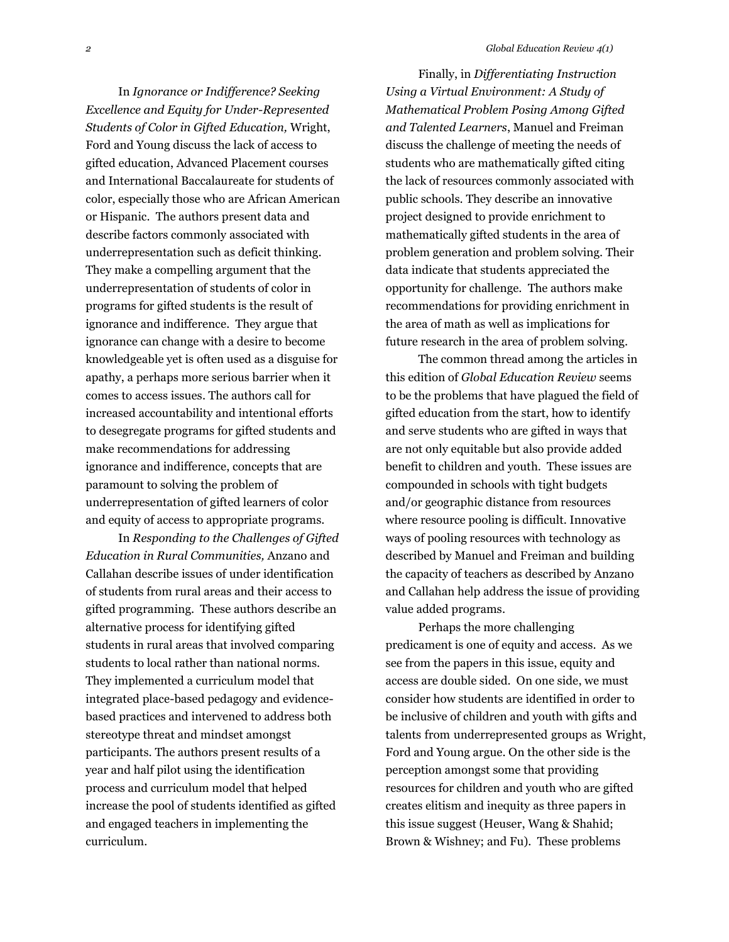In *Ignorance or Indifference? Seeking Excellence and Equity for Under-Represented Students of Color in Gifted Education,* Wright, Ford and Young discuss the lack of access to gifted education, Advanced Placement courses and International Baccalaureate for students of color, especially those who are African American or Hispanic. The authors present data and describe factors commonly associated with underrepresentation such as deficit thinking. They make a compelling argument that the underrepresentation of students of color in programs for gifted students is the result of ignorance and indifference. They argue that ignorance can change with a desire to become knowledgeable yet is often used as a disguise for apathy, a perhaps more serious barrier when it comes to access issues. The authors call for increased accountability and intentional efforts to desegregate programs for gifted students and make recommendations for addressing ignorance and indifference, concepts that are paramount to solving the problem of underrepresentation of gifted learners of color and equity of access to appropriate programs.

In *Responding to the Challenges of Gifted Education in Rural Communities,* Anzano and Callahan describe issues of under identification of students from rural areas and their access to gifted programming. These authors describe an alternative process for identifying gifted students in rural areas that involved comparing students to local rather than national norms. They implemented a curriculum model that integrated place-based pedagogy and evidencebased practices and intervened to address both stereotype threat and mindset amongst participants. The authors present results of a year and half pilot using the identification process and curriculum model that helped increase the pool of students identified as gifted and engaged teachers in implementing the curriculum.

Finally, in *Differentiating Instruction Using a Virtual Environment: A Study of Mathematical Problem Posing Among Gifted and Talented Learners*, Manuel and Freiman discuss the challenge of meeting the needs of students who are mathematically gifted citing the lack of resources commonly associated with public schools. They describe an innovative project designed to provide enrichment to mathematically gifted students in the area of problem generation and problem solving. Their data indicate that students appreciated the opportunity for challenge. The authors make recommendations for providing enrichment in the area of math as well as implications for future research in the area of problem solving.

The common thread among the articles in this edition of *Global Education Review* seems to be the problems that have plagued the field of gifted education from the start, how to identify and serve students who are gifted in ways that are not only equitable but also provide added benefit to children and youth. These issues are compounded in schools with tight budgets and/or geographic distance from resources where resource pooling is difficult. Innovative ways of pooling resources with technology as described by Manuel and Freiman and building the capacity of teachers as described by Anzano and Callahan help address the issue of providing value added programs.

Perhaps the more challenging predicament is one of equity and access. As we see from the papers in this issue, equity and access are double sided. On one side, we must consider how students are identified in order to be inclusive of children and youth with gifts and talents from underrepresented groups as Wright, Ford and Young argue. On the other side is the perception amongst some that providing resources for children and youth who are gifted creates elitism and inequity as three papers in this issue suggest (Heuser, Wang & Shahid; Brown & Wishney; and Fu). These problems